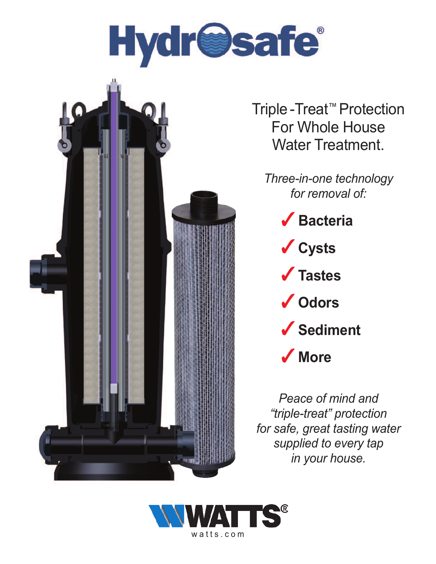

Triple -Treat ™ Protection For Whole House Water Treatment.

*Three-in-one technology for removal of:*

> ✓ **Bacteria** ✓ **Cysts** ✓ **Tastes**

- ✓ **Odors**
- ✓ **Sediment**

✓ **More**

*Peace of mind and "triple-treat" protection for safe, great tasting water supplied to every tap in your house.*